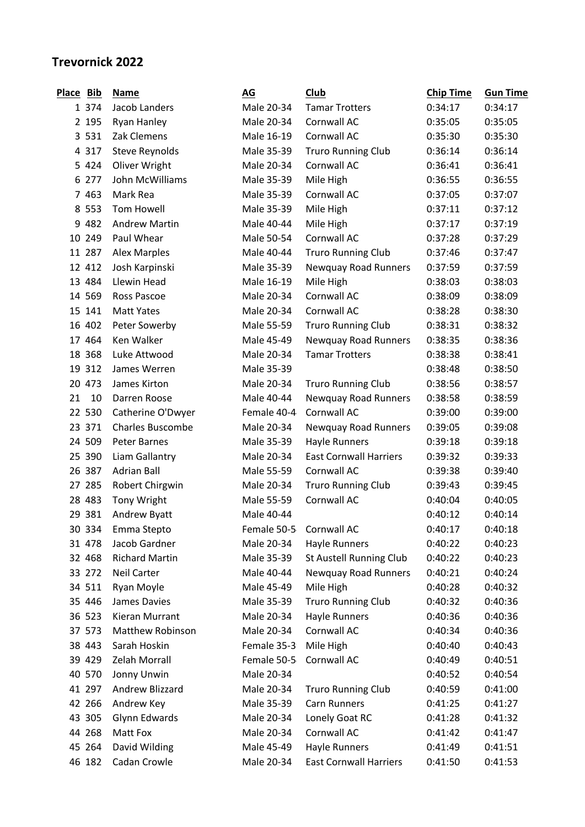## **Trevornick 2022**

| <b>Place</b> | <b>Bib</b> | <b>Name</b>             | AG                      | Club                          | <b>Chip Time</b> | <b>Gun Time</b> |
|--------------|------------|-------------------------|-------------------------|-------------------------------|------------------|-----------------|
|              | 1 374      | Jacob Landers           | Male 20-34              | <b>Tamar Trotters</b>         | 0:34:17          | 0:34:17         |
|              | 2 195      | Ryan Hanley             | Male 20-34              | Cornwall AC                   | 0:35:05          | 0:35:05         |
|              | 3 5 3 1    | Zak Clemens             | Male 16-19              | Cornwall AC                   | 0:35:30          | 0:35:30         |
|              | 4 3 1 7    | Steve Reynolds          | Male 35-39              | <b>Truro Running Club</b>     | 0:36:14          | 0:36:14         |
|              | 5 4 2 4    | Oliver Wright           | Male 20-34              | Cornwall AC                   | 0:36:41          | 0:36:41         |
|              | 6 277      | John McWilliams         | Male 35-39              | Mile High                     | 0:36:55          | 0:36:55         |
|              | 7 4 6 3    | Mark Rea                | Male 35-39              | Cornwall AC                   | 0:37:05          | 0:37:07         |
|              | 8 5 5 3    | <b>Tom Howell</b>       | Male 35-39              | Mile High                     | 0:37:11          | 0:37:12         |
|              | 9 4 8 2    | <b>Andrew Martin</b>    | Male 40-44              | Mile High                     | 0:37:17          | 0:37:19         |
|              | 10 249     | Paul Whear              | Male 50-54              | Cornwall AC                   | 0:37:28          | 0:37:29         |
|              | 11 287     | <b>Alex Marples</b>     | Male 40-44              | <b>Truro Running Club</b>     | 0:37:46          | 0:37:47         |
|              | 12 412     | Josh Karpinski          | Male 35-39              | Newquay Road Runners          | 0:37:59          | 0:37:59         |
|              | 13 484     | Llewin Head             | Male 16-19              | Mile High                     | 0:38:03          | 0:38:03         |
|              | 14 569     | Ross Pascoe             | Male 20-34              | Cornwall AC                   | 0:38:09          | 0:38:09         |
|              | 15 141     | <b>Matt Yates</b>       | Male 20-34              | Cornwall AC                   | 0:38:28          | 0:38:30         |
|              | 16 402     | Peter Sowerby           | Male 55-59              | <b>Truro Running Club</b>     | 0:38:31          | 0:38:32         |
|              | 17 464     | Ken Walker              | Male 45-49              | Newquay Road Runners          | 0:38:35          | 0:38:36         |
|              | 18 368     | Luke Attwood            | Male 20-34              | <b>Tamar Trotters</b>         | 0:38:38          | 0:38:41         |
|              | 19 312     | James Werren            | Male 35-39              |                               | 0:38:48          | 0:38:50         |
|              | 20 473     | James Kirton            | Male 20-34              | <b>Truro Running Club</b>     | 0:38:56          | 0:38:57         |
| 21           | 10         | Darren Roose            | Male 40-44              | <b>Newquay Road Runners</b>   | 0:38:58          | 0:38:59         |
|              | 22 530     | Catherine O'Dwyer       | Female 40-4             | Cornwall AC                   | 0:39:00          | 0:39:00         |
|              | 23 371     | <b>Charles Buscombe</b> | Male 20-34              | <b>Newquay Road Runners</b>   | 0:39:05          | 0:39:08         |
|              | 24 509     | <b>Peter Barnes</b>     | Male 35-39              | Hayle Runners                 | 0:39:18          | 0:39:18         |
|              | 25 390     | Liam Gallantry          | Male 20-34              | <b>East Cornwall Harriers</b> | 0:39:32          | 0:39:33         |
|              | 26 387     | <b>Adrian Ball</b>      | Male 55-59              | Cornwall AC                   | 0:39:38          | 0:39:40         |
|              | 27 285     | Robert Chirgwin         | Male 20-34              | <b>Truro Running Club</b>     | 0:39:43          | 0:39:45         |
|              | 28 483     | Tony Wright             | Male 55-59              | Cornwall AC                   | 0:40:04          | 0:40:05         |
|              | 29 381     | Andrew Byatt            | Male 40-44              |                               | 0:40:12          | 0:40:14         |
|              | 30 334     | Emma Stepto             | Female 50-5 Cornwall AC |                               | 0:40:17          | 0:40:18         |
|              | 31 478     | Jacob Gardner           | Male 20-34              | Hayle Runners                 | 0:40:22          | 0:40:23         |
|              | 32 468     | <b>Richard Martin</b>   | Male 35-39              | St Austell Running Club       | 0:40:22          | 0:40:23         |
|              | 33 272     | <b>Neil Carter</b>      | Male 40-44              | <b>Newquay Road Runners</b>   | 0:40:21          | 0:40:24         |
|              | 34 511     | Ryan Moyle              | Male 45-49              | Mile High                     | 0:40:28          | 0:40:32         |
|              | 35 446     | <b>James Davies</b>     | Male 35-39              | <b>Truro Running Club</b>     | 0:40:32          | 0:40:36         |
|              | 36 523     | Kieran Murrant          | Male 20-34              | Hayle Runners                 | 0:40:36          | 0:40:36         |
|              | 37 573     | <b>Matthew Robinson</b> | Male 20-34              | Cornwall AC                   | 0:40:34          | 0:40:36         |
|              | 38 443     | Sarah Hoskin            | Female 35-3             | Mile High                     | 0:40:40          | 0:40:43         |
|              | 39 429     | Zelah Morrall           | Female 50-5             | Cornwall AC                   | 0:40:49          | 0:40:51         |
|              | 40 570     | Jonny Unwin             | Male 20-34              |                               | 0:40:52          | 0:40:54         |
|              | 41 297     | Andrew Blizzard         | Male 20-34              | <b>Truro Running Club</b>     | 0:40:59          | 0:41:00         |
|              | 42 266     | Andrew Key              | Male 35-39              | <b>Carn Runners</b>           | 0:41:25          | 0:41:27         |
|              | 43 305     | Glynn Edwards           | Male 20-34              | Lonely Goat RC                | 0:41:28          | 0:41:32         |
|              | 44 268     | Matt Fox                | Male 20-34              | Cornwall AC                   | 0:41:42          | 0:41:47         |
|              | 45 264     | David Wilding           | Male 45-49              | Hayle Runners                 | 0:41:49          | 0:41:51         |
|              | 46 182     | Cadan Crowle            | Male 20-34              | <b>East Cornwall Harriers</b> | 0:41:50          | 0:41:53         |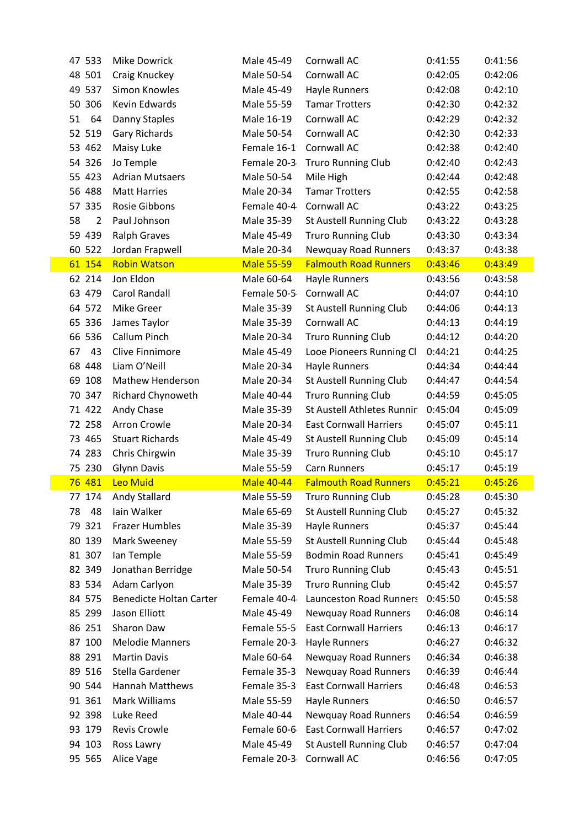| 47 533               | <b>Mike Dowrick</b>            | Male 45-49                | Cornwall AC                            | 0:41:55            | 0:41:56            |
|----------------------|--------------------------------|---------------------------|----------------------------------------|--------------------|--------------------|
| 48 501               | Craig Knuckey                  | Male 50-54                | Cornwall AC                            | 0:42:05            | 0:42:06            |
| 49 537               | Simon Knowles                  | Male 45-49                | Hayle Runners                          | 0:42:08            | 0:42:10            |
| 50 306               | Kevin Edwards                  | Male 55-59                | <b>Tamar Trotters</b>                  | 0:42:30            | 0:42:32            |
| 64<br>51             | Danny Staples                  | Male 16-19                | Cornwall AC                            | 0:42:29            | 0:42:32            |
| 52 519               | Gary Richards                  | Male 50-54                | Cornwall AC                            | 0:42:30            | 0:42:33            |
| 53 462               | Maisy Luke                     | Female 16-1               | Cornwall AC                            | 0:42:38            | 0:42:40            |
| 54 326               | Jo Temple                      | Female 20-3               | <b>Truro Running Club</b>              | 0:42:40            | 0:42:43            |
| 55 423               | <b>Adrian Mutsaers</b>         | Male 50-54                | Mile High                              | 0:42:44            | 0:42:48            |
| 56 488               | <b>Matt Harries</b>            | Male 20-34                | <b>Tamar Trotters</b>                  | 0:42:55            | 0:42:58            |
| 57 335               | Rosie Gibbons                  | Female 40-4               | Cornwall AC                            | 0:43:22            | 0:43:25            |
| 58<br>$\overline{2}$ | Paul Johnson                   | Male 35-39                | St Austell Running Club                | 0:43:22            | 0:43:28            |
| 59 439               | <b>Ralph Graves</b>            | Male 45-49                | <b>Truro Running Club</b>              | 0:43:30            | 0:43:34            |
| 60 522               | Jordan Frapwell                | Male 20-34                | <b>Newquay Road Runners</b>            | 0:43:37            | 0:43:38            |
| 61 154               | <b>Robin Watson</b>            | <b>Male 55-59</b>         | <b>Falmouth Road Runners</b>           | 0:43:46            | 0:43:49            |
| 62 214               | Jon Eldon                      | Male 60-64                | <b>Hayle Runners</b>                   | 0:43:56            | 0:43:58            |
| 63 479               | Carol Randall                  | Female 50-5               | Cornwall AC                            | 0:44:07            | 0:44:10            |
| 64 572               | <b>Mike Greer</b>              | Male 35-39                | St Austell Running Club                | 0:44:06            | 0:44:13            |
| 65 336               | James Taylor                   | Male 35-39                | Cornwall AC                            | 0:44:13            | 0:44:19            |
| 66 536               | Callum Pinch                   | Male 20-34                | <b>Truro Running Club</b>              | 0:44:12            | 0:44:20            |
| 67<br>43             | <b>Clive Finnimore</b>         | Male 45-49                | Looe Pioneers Running Cl               | 0:44:21            | 0:44:25            |
| 68 448               | Liam O'Neill                   | Male 20-34                | Hayle Runners                          | 0:44:34            | 0:44:44            |
| 69 108               | <b>Mathew Henderson</b>        | Male 20-34                | St Austell Running Club                | 0:44:47            | 0:44:54            |
| 70 347               | Richard Chynoweth              | Male 40-44                | <b>Truro Running Club</b>              | 0:44:59            | 0:45:05            |
| 71 422               | Andy Chase                     | Male 35-39                | St Austell Athletes Runnin             | 0:45:04            | 0:45:09            |
|                      |                                |                           |                                        |                    |                    |
| 72 258               | Arron Crowle                   | Male 20-34                | <b>East Cornwall Harriers</b>          | 0:45:07            | 0:45:11            |
| 73 465               | <b>Stuart Richards</b>         | Male 45-49                | <b>St Austell Running Club</b>         | 0:45:09            | 0:45:14            |
| 74 283               | Chris Chirgwin                 | Male 35-39                | <b>Truro Running Club</b>              | 0:45:10            | 0:45:17            |
| 75 230               | <b>Glynn Davis</b>             | Male 55-59                | <b>Carn Runners</b>                    | 0:45:17            | 0:45:19            |
| 76 481               | Leo Muid                       | <b>Male 40-44</b>         | <b>Falmouth Road Runners</b>           | 0:45:21            | 0:45:26            |
| 77<br>174            | Andy Stallard                  | Male 55-59                | <b>Truro Running Club</b>              | 0:45:28            | 0:45:30            |
| 78<br>48             | lain Walker                    | Male 65-69                | St Austell Running Club                | 0:45:27            | 0:45:32            |
| 79 321               | <b>Frazer Humbles</b>          | Male 35-39                | <b>Hayle Runners</b>                   | 0:45:37            | 0:45:44            |
| 80 139               | Mark Sweeney                   | Male 55-59                | <b>St Austell Running Club</b>         | 0:45:44            | 0:45:48            |
| 81 307               | lan Temple                     | Male 55-59                | <b>Bodmin Road Runners</b>             | 0:45:41            | 0:45:49            |
| 82 349               | Jonathan Berridge              | Male 50-54                | <b>Truro Running Club</b>              | 0:45:43            | 0:45:51            |
| 83 534               | Adam Carlyon                   | Male 35-39                | <b>Truro Running Club</b>              | 0:45:42            | 0:45:57            |
| 84 575               | <b>Benedicte Holtan Carter</b> | Female 40-4               | <b>Launceston Road Runners</b>         | 0:45:50            | 0:45:58            |
| 85 299               | Jason Elliott                  | Male 45-49                | <b>Newquay Road Runners</b>            | 0:46:08            | 0:46:14            |
| 86 251               | Sharon Daw                     | Female 55-5               | <b>East Cornwall Harriers</b>          | 0:46:13            | 0:46:17            |
| 87 100               | <b>Melodie Manners</b>         | Female 20-3               | Hayle Runners                          | 0:46:27            | 0:46:32            |
| 88 291               | <b>Martin Davis</b>            | Male 60-64                | <b>Newquay Road Runners</b>            | 0:46:34            | 0:46:38            |
| 89 516               | Stella Gardener                | Female 35-3               | Newquay Road Runners                   | 0:46:39            | 0:46:44            |
| 90 544               | <b>Hannah Matthews</b>         | Female 35-3               | <b>East Cornwall Harriers</b>          | 0:46:48            | 0:46:53            |
| 91 361               | Mark Williams                  | Male 55-59                | Hayle Runners                          | 0:46:50            | 0:46:57            |
| 92 398               | Luke Reed                      | Male 40-44                | <b>Newquay Road Runners</b>            | 0:46:54            | 0:46:59            |
| 93 179               | Revis Crowle                   | Female 60-6               | <b>East Cornwall Harriers</b>          | 0:46:57            | 0:47:02            |
| 94 103<br>95 565     | Ross Lawry<br>Alice Vage       | Male 45-49<br>Female 20-3 | St Austell Running Club<br>Cornwall AC | 0:46:57<br>0:46:56 | 0:47:04<br>0:47:05 |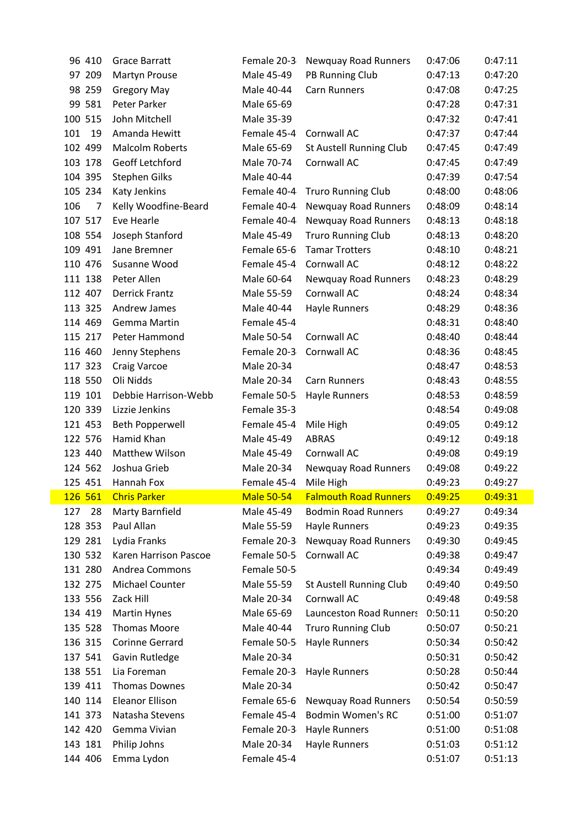| 96 410             | <b>Grace Barratt</b>       | Female 20-3               | <b>Newquay Road Runners</b>    | 0:47:06            | 0:47:11            |
|--------------------|----------------------------|---------------------------|--------------------------------|--------------------|--------------------|
| 97 209             | Martyn Prouse              | Male 45-49                | PB Running Club                | 0:47:13            | 0:47:20            |
| 98 259             | <b>Gregory May</b>         | Male 40-44                | <b>Carn Runners</b>            | 0:47:08            | 0:47:25            |
| 99 581             | Peter Parker               | Male 65-69                |                                | 0:47:28            | 0:47:31            |
| 100 515            | John Mitchell              | Male 35-39                |                                | 0:47:32            | 0:47:41            |
| 101<br>19          | Amanda Hewitt              | Female 45-4               | Cornwall AC                    | 0:47:37            | 0:47:44            |
| 102 499            | <b>Malcolm Roberts</b>     | Male 65-69                | St Austell Running Club        | 0:47:45            | 0:47:49            |
| 103 178            | Geoff Letchford            | Male 70-74                | Cornwall AC                    | 0:47:45            | 0:47:49            |
| 104 395            | <b>Stephen Gilks</b>       | Male 40-44                |                                | 0:47:39            | 0:47:54            |
| 105 234            | Katy Jenkins               | Female 40-4               | <b>Truro Running Club</b>      | 0:48:00            | 0:48:06            |
| 106<br>7           | Kelly Woodfine-Beard       | Female 40-4               | <b>Newquay Road Runners</b>    | 0:48:09            | 0:48:14            |
| 107 517            | Eve Hearle                 | Female 40-4               | Newquay Road Runners           | 0:48:13            | 0:48:18            |
| 108 554            | Joseph Stanford            | Male 45-49                | <b>Truro Running Club</b>      | 0:48:13            | 0:48:20            |
| 109 491            | Jane Bremner               | Female 65-6               | <b>Tamar Trotters</b>          | 0:48:10            | 0:48:21            |
| 110 476            | Susanne Wood               | Female 45-4               | Cornwall AC                    | 0:48:12            | 0:48:22            |
| 111 138            | Peter Allen                | Male 60-64                | <b>Newquay Road Runners</b>    | 0:48:23            | 0:48:29            |
| 112 407            | <b>Derrick Frantz</b>      | Male 55-59                | Cornwall AC                    | 0:48:24            | 0:48:34            |
| 113 325            | Andrew James               | Male 40-44                | Hayle Runners                  | 0:48:29            | 0:48:36            |
| 114 469            | Gemma Martin               | Female 45-4               |                                | 0:48:31            | 0:48:40            |
| 115 217            | Peter Hammond              | Male 50-54                | Cornwall AC                    | 0:48:40            | 0:48:44            |
| 116 460            | Jenny Stephens             | Female 20-3               | Cornwall AC                    | 0:48:36            | 0:48:45            |
| 117 323            | Craig Varcoe               | Male 20-34                |                                | 0:48:47            | 0:48:53            |
| 118 550            | Oli Nidds                  | Male 20-34                | Carn Runners                   | 0:48:43            | 0:48:55            |
| 119 101            | Debbie Harrison-Webb       | Female 50-5               | Hayle Runners                  | 0:48:53            | 0:48:59            |
| 120 339            | Lizzie Jenkins             | Female 35-3               |                                | 0:48:54            | 0:49:08            |
| 121 453            | Beth Popperwell            | Female 45-4               | Mile High                      | 0:49:05            | 0:49:12            |
| 122 576            | Hamid Khan                 | Male 45-49                | <b>ABRAS</b>                   | 0:49:12            | 0:49:18            |
| 123 440            | Matthew Wilson             | Male 45-49                | Cornwall AC                    | 0:49:08            | 0:49:19            |
| 124 562            | Joshua Grieb               | Male 20-34                | Newquay Road Runners           | 0:49:08            | 0:49:22            |
|                    |                            |                           | Mile High                      |                    | 0:49:27            |
| 125 451            | Hannah Fox                 | Female 45-4               |                                | 0:49:23            |                    |
| 126 561            | <b>Chris Parker</b>        | <b>Male 50-54</b>         | <b>Falmouth Road Runners</b>   | 0:49:25            | 0:49:31            |
| 127<br>28          | Marty Barnfield            | Male 45-49                | <b>Bodmin Road Runners</b>     | 0:49:27            | 0:49:34            |
| 128 353            | Paul Allan                 | Male 55-59                | Hayle Runners                  | 0:49:23            | 0:49:35            |
| 129 281            | Lydia Franks               | Female 20-3               | <b>Newquay Road Runners</b>    | 0:49:30            | 0:49:45            |
| 130 532            | Karen Harrison Pascoe      | Female 50-5               | Cornwall AC                    | 0:49:38            | 0:49:47            |
| 131 280            | Andrea Commons             | Female 50-5               |                                | 0:49:34            | 0:49:49            |
| 132 275            | Michael Counter            | Male 55-59                | St Austell Running Club        | 0:49:40            | 0:49:50            |
| 133 556            | Zack Hill                  | Male 20-34                | Cornwall AC                    | 0:49:48            | 0:49:58            |
| 134 419            | <b>Martin Hynes</b>        | Male 65-69                | <b>Launceston Road Runners</b> | 0:50:11            | 0:50:20            |
| 135 528            | <b>Thomas Moore</b>        | Male 40-44                | <b>Truro Running Club</b>      | 0:50:07            | 0:50:21            |
| 136 315            | Corinne Gerrard            | Female 50-5               | Hayle Runners                  | 0:50:34            | 0:50:42            |
| 137 541            | Gavin Rutledge             | Male 20-34                |                                | 0:50:31            | 0:50:42            |
| 138 551            | Lia Foreman                | Female 20-3               | Hayle Runners                  | 0:50:28            | 0:50:44            |
| 139 411            | <b>Thomas Downes</b>       | Male 20-34                |                                | 0:50:42            | 0:50:47            |
| 140 114            | <b>Eleanor Ellison</b>     | Female 65-6               | <b>Newquay Road Runners</b>    | 0:50:54            | 0:50:59            |
| 141 373            | Natasha Stevens            | Female 45-4               | <b>Bodmin Women's RC</b>       | 0:51:00            | 0:51:07            |
| 142 420            | Gemma Vivian               | Female 20-3               | Hayle Runners                  | 0:51:00            | 0:51:08            |
| 143 181<br>144 406 | Philip Johns<br>Emma Lydon | Male 20-34<br>Female 45-4 | Hayle Runners                  | 0:51:03<br>0:51:07 | 0:51:12<br>0:51:13 |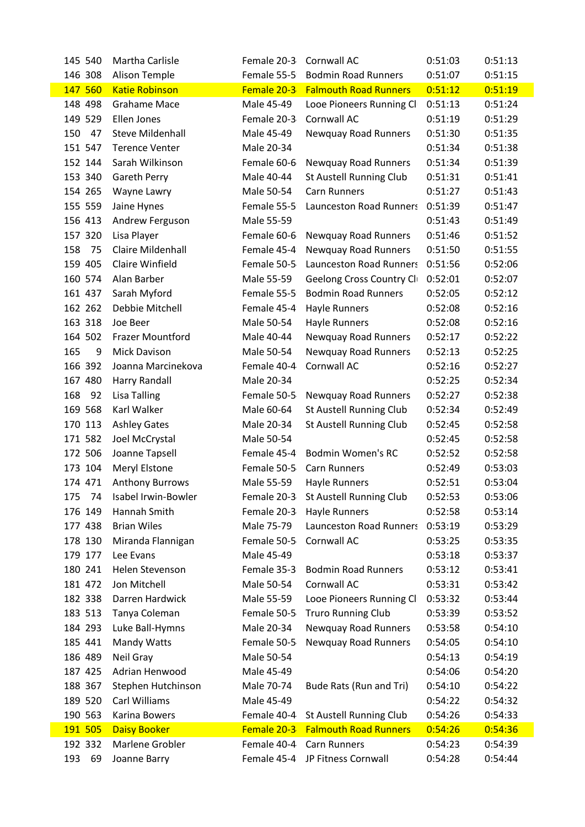| 145 540   | Martha Carlisle          |             | Female 20-3 Cornwall AC             | 0:51:03 | 0:51:13 |
|-----------|--------------------------|-------------|-------------------------------------|---------|---------|
| 146 308   | <b>Alison Temple</b>     | Female 55-5 | <b>Bodmin Road Runners</b>          | 0:51:07 | 0:51:15 |
| 147 560   | <b>Katie Robinson</b>    | Female 20-3 | <b>Falmouth Road Runners</b>        | 0:51:12 | 0:51:19 |
| 148 498   | <b>Grahame Mace</b>      | Male 45-49  | Looe Pioneers Running Cli           | 0:51:13 | 0:51:24 |
| 149 529   | Ellen Jones              | Female 20-3 | Cornwall AC                         | 0:51:19 | 0:51:29 |
| 150<br>47 | <b>Steve Mildenhall</b>  | Male 45-49  | Newquay Road Runners                | 0:51:30 | 0:51:35 |
| 151 547   | <b>Terence Venter</b>    | Male 20-34  |                                     | 0:51:34 | 0:51:38 |
| 152 144   | Sarah Wilkinson          | Female 60-6 | Newquay Road Runners                | 0:51:34 | 0:51:39 |
| 153 340   | <b>Gareth Perry</b>      | Male 40-44  | St Austell Running Club             | 0:51:31 | 0:51:41 |
| 154 265   | Wayne Lawry              | Male 50-54  | <b>Carn Runners</b>                 | 0:51:27 | 0:51:43 |
| 155 559   | Jaine Hynes              | Female 55-5 | <b>Launceston Road Runners</b>      | 0:51:39 | 0:51:47 |
| 156 413   | Andrew Ferguson          | Male 55-59  |                                     | 0:51:43 | 0:51:49 |
| 157 320   | Lisa Player              | Female 60-6 | Newquay Road Runners                | 0:51:46 | 0:51:52 |
| 75<br>158 | <b>Claire Mildenhall</b> | Female 45-4 | Newquay Road Runners                | 0:51:50 | 0:51:55 |
| 159 405   | Claire Winfield          | Female 50-5 | <b>Launceston Road Runners</b>      | 0:51:56 | 0:52:06 |
| 160 574   | Alan Barber              | Male 55-59  | Geelong Cross Country Cli           | 0:52:01 | 0:52:07 |
| 161 437   | Sarah Myford             | Female 55-5 | <b>Bodmin Road Runners</b>          | 0:52:05 | 0:52:12 |
| 162 262   | Debbie Mitchell          | Female 45-4 | Hayle Runners                       | 0:52:08 | 0:52:16 |
| 163 318   | Joe Beer                 | Male 50-54  | Hayle Runners                       | 0:52:08 | 0:52:16 |
| 164 502   | Frazer Mountford         | Male 40-44  | Newquay Road Runners                | 0:52:17 | 0:52:22 |
| 165<br>9  | <b>Mick Davison</b>      | Male 50-54  | Newquay Road Runners                | 0:52:13 | 0:52:25 |
| 166 392   | Joanna Marcinekova       | Female 40-4 | Cornwall AC                         | 0:52:16 | 0:52:27 |
| 167 480   | Harry Randall            | Male 20-34  |                                     | 0:52:25 | 0:52:34 |
| 168<br>92 | Lisa Talling             | Female 50-5 | Newquay Road Runners                | 0:52:27 | 0:52:38 |
| 169 568   | Karl Walker              | Male 60-64  | St Austell Running Club             | 0:52:34 | 0:52:49 |
| 170 113   | <b>Ashley Gates</b>      | Male 20-34  | St Austell Running Club             | 0:52:45 | 0:52:58 |
| 171 582   | Joel McCrystal           | Male 50-54  |                                     | 0:52:45 | 0:52:58 |
| 172 506   | Joanne Tapsell           | Female 45-4 | <b>Bodmin Women's RC</b>            | 0:52:52 | 0:52:58 |
| 173 104   | Meryl Elstone            | Female 50-5 | Carn Runners                        | 0:52:49 | 0:53:03 |
| 174 471   | <b>Anthony Burrows</b>   | Male 55-59  | Hayle Runners                       | 0:52:51 | 0:53:04 |
| 175       | 74 Isabel Irwin-Bowler   |             | Female 20-3 St Austell Running Club | 0:52:53 | 0:53:06 |
| 176 149   | Hannah Smith             | Female 20-3 | Hayle Runners                       | 0:52:58 | 0:53:14 |
| 177 438   | <b>Brian Wiles</b>       | Male 75-79  | <b>Launceston Road Runners</b>      | 0:53:19 | 0:53:29 |
| 178 130   | Miranda Flannigan        | Female 50-5 | Cornwall AC                         | 0:53:25 | 0:53:35 |
| 179 177   | Lee Evans                | Male 45-49  |                                     | 0:53:18 | 0:53:37 |
| 180 241   | Helen Stevenson          | Female 35-3 | <b>Bodmin Road Runners</b>          | 0:53:12 | 0:53:41 |
| 181 472   | Jon Mitchell             | Male 50-54  | Cornwall AC                         | 0:53:31 | 0:53:42 |
| 182 338   | Darren Hardwick          | Male 55-59  | Looe Pioneers Running Cli           | 0:53:32 | 0:53:44 |
| 183 513   | Tanya Coleman            | Female 50-5 | <b>Truro Running Club</b>           | 0:53:39 | 0:53:52 |
| 184 293   | Luke Ball-Hymns          | Male 20-34  | Newquay Road Runners                | 0:53:58 | 0:54:10 |
| 185 441   | Mandy Watts              | Female 50-5 | Newquay Road Runners                | 0:54:05 | 0:54:10 |
| 186 489   | Neil Gray                | Male 50-54  |                                     | 0:54:13 | 0:54:19 |
| 187 425   | Adrian Henwood           | Male 45-49  |                                     | 0:54:06 | 0:54:20 |
| 188 367   | Stephen Hutchinson       | Male 70-74  | Bude Rats (Run and Tri)             | 0:54:10 | 0:54:22 |
| 189 520   | Carl Williams            | Male 45-49  |                                     | 0:54:22 | 0:54:32 |
| 190 563   | Karina Bowers            | Female 40-4 | St Austell Running Club             | 0:54:26 | 0:54:33 |
| 191 505   | <b>Daisy Booker</b>      | Female 20-3 | <b>Falmouth Road Runners</b>        | 0:54:26 | 0:54:36 |
| 192 332   | Marlene Grobler          | Female 40-4 | Carn Runners                        | 0:54:23 | 0:54:39 |
| 193<br>69 | Joanne Barry             | Female 45-4 | JP Fitness Cornwall                 | 0:54:28 | 0:54:44 |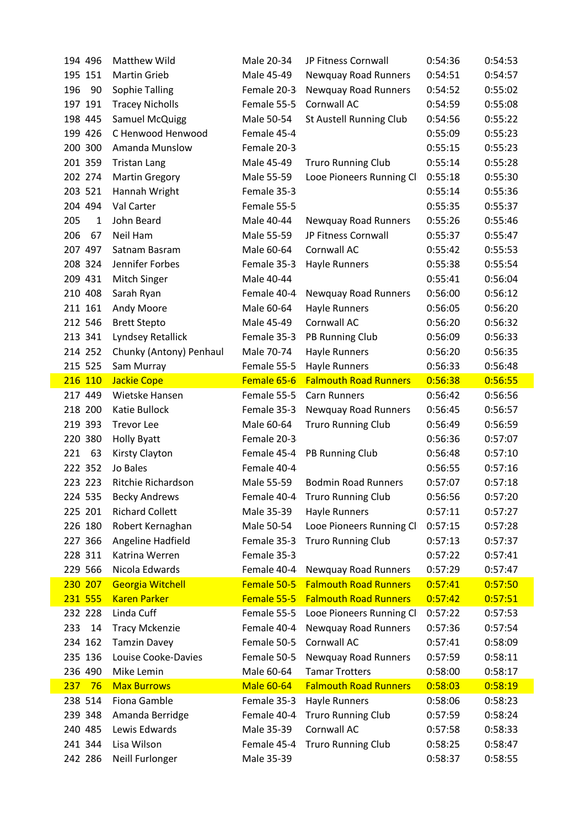| 194 496             | <b>Matthew Wild</b>            | Male 20-34                | JP Fitness Cornwall            | 0:54:36            | 0:54:53            |
|---------------------|--------------------------------|---------------------------|--------------------------------|--------------------|--------------------|
| 195 151             | <b>Martin Grieb</b>            | Male 45-49                | Newquay Road Runners           | 0:54:51            | 0:54:57            |
| 196<br>90           | Sophie Talling                 | Female 20-3               | <b>Newquay Road Runners</b>    | 0:54:52            | 0:55:02            |
| 197 191             | <b>Tracey Nicholls</b>         | Female 55-5               | Cornwall AC                    | 0:54:59            | 0:55:08            |
| 198 445             | Samuel McQuigg                 | Male 50-54                | St Austell Running Club        | 0:54:56            | 0:55:22            |
| 199 426             | C Henwood Henwood              | Female 45-4               |                                | 0:55:09            | 0:55:23            |
| 200 300             | Amanda Munslow                 | Female 20-3               |                                | 0:55:15            | 0:55:23            |
| 201 359             | <b>Tristan Lang</b>            | Male 45-49                | <b>Truro Running Club</b>      | 0:55:14            | 0:55:28            |
| 202 274             | <b>Martin Gregory</b>          | Male 55-59                | Looe Pioneers Running Cl       | 0:55:18            | 0:55:30            |
| 203 521             | Hannah Wright                  | Female 35-3               |                                | 0:55:14            | 0:55:36            |
| 204 494             | Val Carter                     | Female 55-5               |                                | 0:55:35            | 0:55:37            |
| 205<br>$\mathbf{1}$ | John Beard                     | Male 40-44                | Newquay Road Runners           | 0:55:26            | 0:55:46            |
| 206<br>67           | Neil Ham                       | Male 55-59                | JP Fitness Cornwall            | 0:55:37            | 0:55:47            |
| 207 497             | Satnam Basram                  | Male 60-64                | Cornwall AC                    | 0:55:42            | 0:55:53            |
| 208 324             | Jennifer Forbes                | Female 35-3               | <b>Hayle Runners</b>           | 0:55:38            | 0:55:54            |
| 209 431             | Mitch Singer                   | Male 40-44                |                                | 0:55:41            | 0:56:04            |
| 210 408             | Sarah Ryan                     | Female 40-4               | <b>Newquay Road Runners</b>    | 0:56:00            | 0:56:12            |
| 211 161             | Andy Moore                     | Male 60-64                | Hayle Runners                  | 0:56:05            | 0:56:20            |
| 212 546             | <b>Brett Stepto</b>            | Male 45-49                | Cornwall AC                    | 0:56:20            | 0:56:32            |
| 213 341             | Lyndsey Retallick              | Female 35-3               | PB Running Club                | 0:56:09            | 0:56:33            |
| 214 252             | Chunky (Antony) Penhaul        | Male 70-74                | <b>Hayle Runners</b>           | 0:56:20            | 0:56:35            |
| 215 525             | Sam Murray                     | Female 55-5               | <b>Hayle Runners</b>           | 0:56:33            | 0:56:48            |
| 216 110             | Jackie Cope                    | Female 65-6               | <b>Falmouth Road Runners</b>   | 0:56:38            | 0:56:55            |
| 217 449             | Wietske Hansen                 | Female 55-5               | Carn Runners                   | 0:56:42            | 0:56:56            |
| 218 200             | Katie Bullock                  | Female 35-3               | Newquay Road Runners           | 0:56:45            | 0:56:57            |
| 219 393             | <b>Trevor Lee</b>              | Male 60-64                | <b>Truro Running Club</b>      | 0:56:49            | 0:56:59            |
| 220 380             | <b>Holly Byatt</b>             | Female 20-3               |                                | 0:56:36            | 0:57:07            |
| 221<br>63           | Kirsty Clayton                 | Female 45-4               | PB Running Club                | 0:56:48            | 0:57:10            |
| 222 352             | Jo Bales                       | Female 40-4               |                                | 0:56:55            | 0:57:16            |
| 223 223             | Ritchie Richardson             | Male 55-59                | <b>Bodmin Road Runners</b>     | 0:57:07            | 0:57:18            |
| 224 535             | <b>Becky Andrews</b>           |                           | Female 40-4 Truro Running Club | 0:56:56            | 0:57:20            |
| 225 201             | <b>Richard Collett</b>         | Male 35-39                | <b>Hayle Runners</b>           | 0:57:11            | 0:57:27            |
| 226 180             | Robert Kernaghan               | Male 50-54                | Looe Pioneers Running Cl       | 0:57:15            | 0:57:28            |
| 227 366             | Angeline Hadfield              | Female 35-3               | <b>Truro Running Club</b>      | 0:57:13            | 0:57:37            |
| 228 311             | Katrina Werren                 | Female 35-3               |                                | 0:57:22            | 0:57:41            |
| 229 566             | Nicola Edwards                 | Female 40-4               | <b>Newquay Road Runners</b>    | 0:57:29            | 0:57:47            |
| 230 207             | <b>Georgia Witchell</b>        | Female 50-5               | <b>Falmouth Road Runners</b>   | 0:57:41            | 0:57:50            |
| 231 555             | <b>Karen Parker</b>            | Female 55-5               | <b>Falmouth Road Runners</b>   | 0:57:42            | 0:57:51            |
| 232 228             | Linda Cuff                     | Female 55-5               | Looe Pioneers Running Cl       | 0:57:22            | 0:57:53            |
| 233<br>14           | <b>Tracy Mckenzie</b>          | Female 40-4               | Newquay Road Runners           | 0:57:36            | 0:57:54            |
| 234 162             | <b>Tamzin Davey</b>            | Female 50-5               | Cornwall AC                    | 0:57:41            | 0:58:09            |
| 235 136             | Louise Cooke-Davies            | Female 50-5               | <b>Newquay Road Runners</b>    | 0:57:59            | 0:58:11            |
| 236 490             | Mike Lemin                     | Male 60-64                | <b>Tamar Trotters</b>          | 0:58:00            | 0:58:17            |
| 237<br>76           |                                | <b>Male 60-64</b>         | <b>Falmouth Road Runners</b>   | 0:58:03            | 0:58:19            |
|                     | <b>Max Burrows</b>             |                           |                                |                    |                    |
| 238 514             | Fiona Gamble                   | Female 35-3               | <b>Hayle Runners</b>           | 0:58:06            | 0:58:23            |
| 239 348             | Amanda Berridge                | Female 40-4               | <b>Truro Running Club</b>      | 0:57:59            | 0:58:24            |
| 240 485             | Lewis Edwards                  | Male 35-39                | Cornwall AC                    | 0:57:58            | 0:58:33            |
| 241 344<br>242 286  | Lisa Wilson<br>Neill Furlonger | Female 45-4<br>Male 35-39 | <b>Truro Running Club</b>      | 0:58:25<br>0:58:37 | 0:58:47<br>0:58:55 |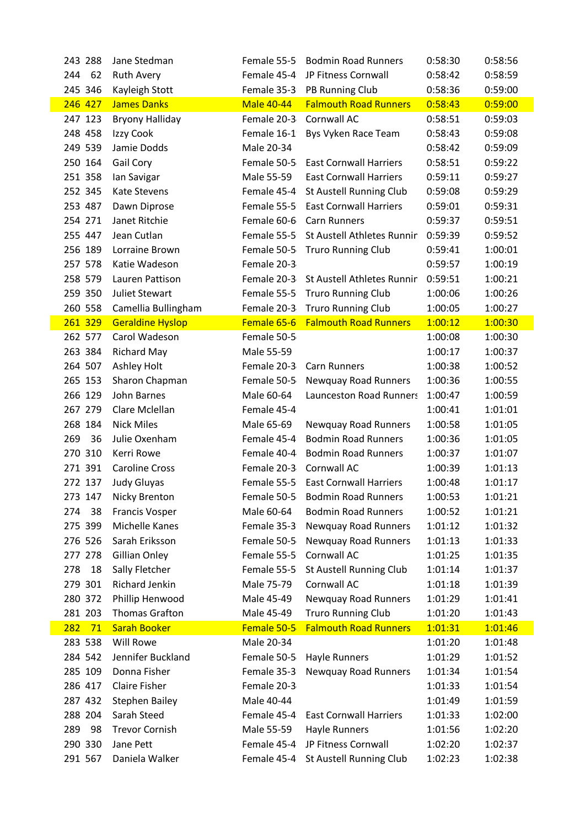| 243 288      | Jane Stedman            | Female 55-5       | <b>Bodmin Road Runners</b>             | 0:58:30 | 0:58:56 |
|--------------|-------------------------|-------------------|----------------------------------------|---------|---------|
| 244 62       | <b>Ruth Avery</b>       |                   | Female 45-4 JP Fitness Cornwall        | 0:58:42 | 0:58:59 |
| 245 346      | Kayleigh Stott          |                   | Female 35-3 PB Running Club            | 0:58:36 | 0:59:00 |
| 246 427      | <b>James Danks</b>      | <b>Male 40-44</b> | <b>Falmouth Road Runners</b>           | 0:58:43 | 0:59:00 |
| 247 123      | <b>Bryony Halliday</b>  |                   | Female 20-3 Cornwall AC                | 0:58:51 | 0:59:03 |
| 248 458      | Izzy Cook               | Female 16-1       | Bys Vyken Race Team                    | 0:58:43 | 0:59:08 |
| 249 539      | Jamie Dodds             | Male 20-34        |                                        | 0:58:42 | 0:59:09 |
| 250 164      | Gail Cory               | Female 50-5       | <b>East Cornwall Harriers</b>          | 0:58:51 | 0:59:22 |
| 251 358      | Ian Savigar             | Male 55-59        | <b>East Cornwall Harriers</b>          | 0:59:11 | 0:59:27 |
| 252 345      | <b>Kate Stevens</b>     | Female 45-4       | St Austell Running Club                | 0:59:08 | 0:59:29 |
| 253 487      | Dawn Diprose            |                   | Female 55-5 East Cornwall Harriers     | 0:59:01 | 0:59:31 |
| 254 271      | Janet Ritchie           | Female 60-6       | <b>Carn Runners</b>                    | 0:59:37 | 0:59:51 |
| 255 447      | Jean Cutlan             |                   | Female 55-5 St Austell Athletes Runnin | 0:59:39 | 0:59:52 |
| 256 189      | Lorraine Brown          |                   | Female 50-5 Truro Running Club         | 0:59:41 | 1:00:01 |
| 257 578      | Katie Wadeson           | Female 20-3       |                                        | 0:59:57 | 1:00:19 |
| 258 579      | Lauren Pattison         |                   | Female 20-3 St Austell Athletes Runnin | 0:59:51 | 1:00:21 |
| 259 350      | Juliet Stewart          |                   | Female 55-5 Truro Running Club         | 1:00:06 | 1:00:26 |
| 260 558      | Camellia Bullingham     |                   | Female 20-3 Truro Running Club         | 1:00:05 | 1:00:27 |
| 261 329      | <b>Geraldine Hyslop</b> |                   | Female 65-6 Falmouth Road Runners      | 1:00:12 | 1:00:30 |
| 262 577      | Carol Wadeson           | Female 50-5       |                                        | 1:00:08 | 1:00:30 |
| 263 384      | <b>Richard May</b>      | Male 55-59        |                                        | 1:00:17 | 1:00:37 |
| 264 507      | Ashley Holt             |                   | Female 20-3 Carn Runners               | 1:00:38 | 1:00:52 |
| 265 153      | Sharon Chapman          | Female 50-5       | Newquay Road Runners                   | 1:00:36 | 1:00:55 |
| 266 129      | John Barnes             | Male 60-64        | <b>Launceston Road Runners</b>         | 1:00:47 | 1:00:59 |
| 267 279      | Clare Mclellan          | Female 45-4       |                                        | 1:00:41 | 1:01:01 |
| 268 184      | <b>Nick Miles</b>       | Male 65-69        | Newquay Road Runners                   | 1:00:58 | 1:01:05 |
| 269<br>36    | Julie Oxenham           | Female 45-4       | <b>Bodmin Road Runners</b>             | 1:00:36 | 1:01:05 |
| 270 310      | Kerri Rowe              | Female 40-4       | <b>Bodmin Road Runners</b>             | 1:00:37 | 1:01:07 |
| 271 391      | <b>Caroline Cross</b>   |                   | Female 20-3 Cornwall AC                | 1:00:39 | 1:01:13 |
| 272 137      | <b>Judy Gluyas</b>      |                   | Female 55-5 East Cornwall Harriers     | 1:00:48 | 1:01:17 |
| 273 147      | Nicky Brenton           |                   | Female 50-5 Bodmin Road Runners        | 1:00:53 | 1:01:21 |
| 274<br>38    | Francis Vosper          | Male 60-64        | <b>Bodmin Road Runners</b>             | 1:00:52 | 1:01:21 |
| 275 399      | Michelle Kanes          | Female 35-3       | Newquay Road Runners                   | 1:01:12 | 1:01:32 |
| 276 526      | Sarah Eriksson          | Female 50-5       | <b>Newquay Road Runners</b>            | 1:01:13 | 1:01:33 |
| 277 278      | Gillian Onley           | Female 55-5       | Cornwall AC                            | 1:01:25 | 1:01:35 |
| 278<br>18    | Sally Fletcher          | Female 55-5       | St Austell Running Club                | 1:01:14 | 1:01:37 |
| 279 301      | Richard Jenkin          | Male 75-79        | Cornwall AC                            | 1:01:18 | 1:01:39 |
| 280 372      | Phillip Henwood         | Male 45-49        | Newquay Road Runners                   | 1:01:29 | 1:01:41 |
| 281 203      | <b>Thomas Grafton</b>   | Male 45-49        | <b>Truro Running Club</b>              | 1:01:20 | 1:01:43 |
| 282<br>$-71$ | <b>Sarah Booker</b>     | Female 50-5       | <b>Falmouth Road Runners</b>           | 1:01:31 | 1:01:46 |
| 283 538      | Will Rowe               | Male 20-34        |                                        | 1:01:20 | 1:01:48 |
| 284 542      | Jennifer Buckland       | Female 50-5       | Hayle Runners                          | 1:01:29 | 1:01:52 |
| 285 109      | Donna Fisher            | Female 35-3       | Newquay Road Runners                   | 1:01:34 | 1:01:54 |
| 286 417      | <b>Claire Fisher</b>    | Female 20-3       |                                        | 1:01:33 | 1:01:54 |
| 287 432      | <b>Stephen Bailey</b>   | Male 40-44        |                                        | 1:01:49 | 1:01:59 |
| 288 204      | Sarah Steed             | Female 45-4       | <b>East Cornwall Harriers</b>          | 1:01:33 | 1:02:00 |
| 289<br>98    | <b>Trevor Cornish</b>   | Male 55-59        | <b>Hayle Runners</b>                   | 1:01:56 | 1:02:20 |
| 290 330      | Jane Pett               | Female 45-4       | JP Fitness Cornwall                    | 1:02:20 | 1:02:37 |
| 291 567      | Daniela Walker          | Female 45-4       | St Austell Running Club                | 1:02:23 | 1:02:38 |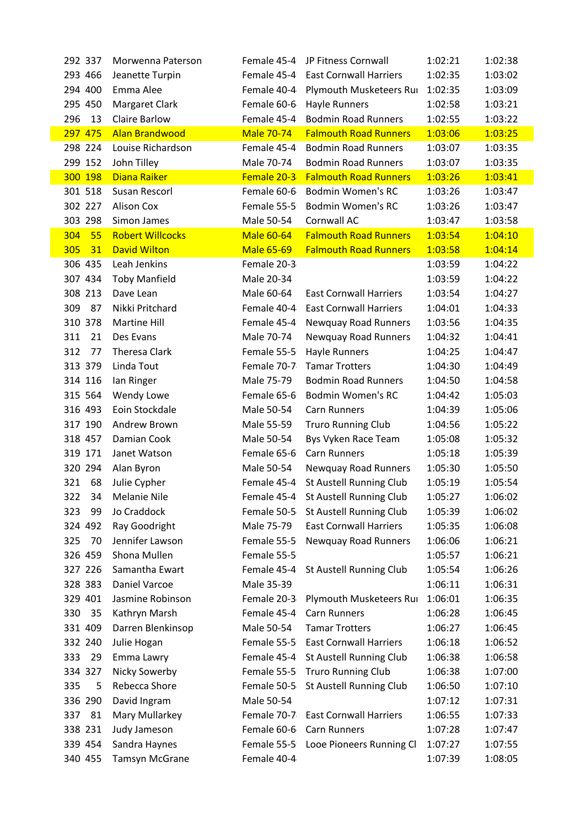| 292 337   | Morwenna Paterson       | Female 45-4       | JP Fitness Cornwall                 | 1:02:21 | 1:02:38 |
|-----------|-------------------------|-------------------|-------------------------------------|---------|---------|
| 293 466   | Jeanette Turpin         | Female 45-4       | <b>East Cornwall Harriers</b>       | 1:02:35 | 1:03:02 |
| 294 400   | Emma Alee               | Female 40-4       | Plymouth Musketeers Rui             | 1:02:35 | 1:03:09 |
| 295 450   | Margaret Clark          | Female 60-6       | Hayle Runners                       | 1:02:58 | 1:03:21 |
| 296<br>13 | <b>Claire Barlow</b>    | Female 45-4       | <b>Bodmin Road Runners</b>          | 1:02:55 | 1:03:22 |
| 297 475   | <b>Alan Brandwood</b>   | <b>Male 70-74</b> | <b>Falmouth Road Runners</b>        | 1:03:06 | 1:03:25 |
| 298 224   | Louise Richardson       | Female 45-4       | <b>Bodmin Road Runners</b>          | 1:03:07 | 1:03:35 |
| 299 152   | John Tilley             | Male 70-74        | <b>Bodmin Road Runners</b>          | 1:03:07 | 1:03:35 |
| 300 198   | <b>Diana Raiker</b>     |                   | Female 20-3 Falmouth Road Runners   | 1:03:26 | 1:03:41 |
| 301 518   | Susan Rescorl           | Female 60-6       | <b>Bodmin Women's RC</b>            | 1:03:26 | 1:03:47 |
| 302 227   | <b>Alison Cox</b>       | Female 55-5       | <b>Bodmin Women's RC</b>            | 1:03:26 | 1:03:47 |
| 303 298   | Simon James             | Male 50-54        | Cornwall AC                         | 1:03:47 | 1:03:58 |
| 55<br>304 | <b>Robert Willcocks</b> | <b>Male 60-64</b> | <b>Falmouth Road Runners</b>        | 1:03:54 | 1:04:10 |
| 31<br>305 | <b>David Wilton</b>     | <b>Male 65-69</b> | <b>Falmouth Road Runners</b>        | 1:03:58 | 1:04:14 |
| 306 435   | Leah Jenkins            | Female 20-3       |                                     | 1:03:59 | 1:04:22 |
| 307 434   | <b>Toby Manfield</b>    | Male 20-34        |                                     | 1:03:59 | 1:04:22 |
| 308 213   | Dave Lean               | Male 60-64        | <b>East Cornwall Harriers</b>       | 1:03:54 | 1:04:27 |
| 87<br>309 | Nikki Pritchard         | Female 40-4       | <b>East Cornwall Harriers</b>       | 1:04:01 | 1:04:33 |
| 310 378   | Martine Hill            | Female 45-4       | <b>Newquay Road Runners</b>         | 1:03:56 | 1:04:35 |
| 311<br>21 | Des Evans               | Male 70-74        | Newquay Road Runners                | 1:04:32 | 1:04:41 |
| 312<br>77 | <b>Theresa Clark</b>    | Female 55-5       | Hayle Runners                       | 1:04:25 | 1:04:47 |
| 313 379   | Linda Tout              | Female 70-7       | <b>Tamar Trotters</b>               | 1:04:30 | 1:04:49 |
| 314 116   | lan Ringer              | Male 75-79        | <b>Bodmin Road Runners</b>          | 1:04:50 | 1:04:58 |
| 315 564   | Wendy Lowe              | Female 65-6       | <b>Bodmin Women's RC</b>            | 1:04:42 | 1:05:03 |
| 316 493   | Eoin Stockdale          | Male 50-54        | Carn Runners                        | 1:04:39 | 1:05:06 |
| 317 190   | Andrew Brown            | Male 55-59        | <b>Truro Running Club</b>           | 1:04:56 | 1:05:22 |
| 318 457   | Damian Cook             | Male 50-54        | Bys Vyken Race Team                 | 1:05:08 | 1:05:32 |
| 319 171   | Janet Watson            | Female 65-6       | Carn Runners                        | 1:05:18 | 1:05:39 |
| 320 294   | Alan Byron              | Male 50-54        | Newquay Road Runners                | 1:05:30 | 1:05:50 |
| 321<br>68 | Julie Cypher            | Female 45-4       | St Austell Running Club             | 1:05:19 | 1:05:54 |
| 322       | 34 Melanie Nile         |                   | Female 45-4 St Austell Running Club | 1:05:27 | 1:06:02 |
| 99<br>323 | Jo Craddock             | Female 50-5       | St Austell Running Club             | 1:05:39 | 1:06:02 |
| 324 492   | Ray Goodright           | Male 75-79        | <b>East Cornwall Harriers</b>       | 1:05:35 | 1:06:08 |
| 325<br>70 | Jennifer Lawson         | Female 55-5       | Newquay Road Runners                | 1:06:06 | 1:06:21 |
| 326 459   | Shona Mullen            | Female 55-5       |                                     | 1:05:57 | 1:06:21 |
| 327 226   | Samantha Ewart          | Female 45-4       | St Austell Running Club             | 1:05:54 | 1:06:26 |
| 328 383   | Daniel Varcoe           | Male 35-39        |                                     | 1:06:11 | 1:06:31 |
| 329 401   | Jasmine Robinson        | Female 20-3       | Plymouth Musketeers Rur             | 1:06:01 | 1:06:35 |
| 35<br>330 | Kathryn Marsh           | Female 45-4       | <b>Carn Runners</b>                 | 1:06:28 | 1:06:45 |
| 331 409   | Darren Blenkinsop       | Male 50-54        | <b>Tamar Trotters</b>               | 1:06:27 | 1:06:45 |
| 332 240   | Julie Hogan             | Female 55-5       | <b>East Cornwall Harriers</b>       | 1:06:18 | 1:06:52 |
| 333<br>29 | Emma Lawry              | Female 45-4       | St Austell Running Club             | 1:06:38 | 1:06:58 |
| 334 327   | Nicky Sowerby           | Female 55-5       | <b>Truro Running Club</b>           | 1:06:38 | 1:07:00 |
| 335<br>5  | Rebecca Shore           | Female 50-5       | St Austell Running Club             | 1:06:50 | 1:07:10 |
| 336 290   | David Ingram            | Male 50-54        |                                     | 1:07:12 | 1:07:31 |
| 81<br>337 | Mary Mullarkey          | Female 70-7       | <b>East Cornwall Harriers</b>       | 1:06:55 | 1:07:33 |
| 338 231   | Judy Jameson            | Female 60-6       | <b>Carn Runners</b>                 | 1:07:28 | 1:07:47 |
| 339 454   | Sandra Haynes           | Female 55-5       | Looe Pioneers Running Cl            | 1:07:27 | 1:07:55 |
| 340 455   | Tamsyn McGrane          | Female 40-4       |                                     | 1:07:39 | 1:08:05 |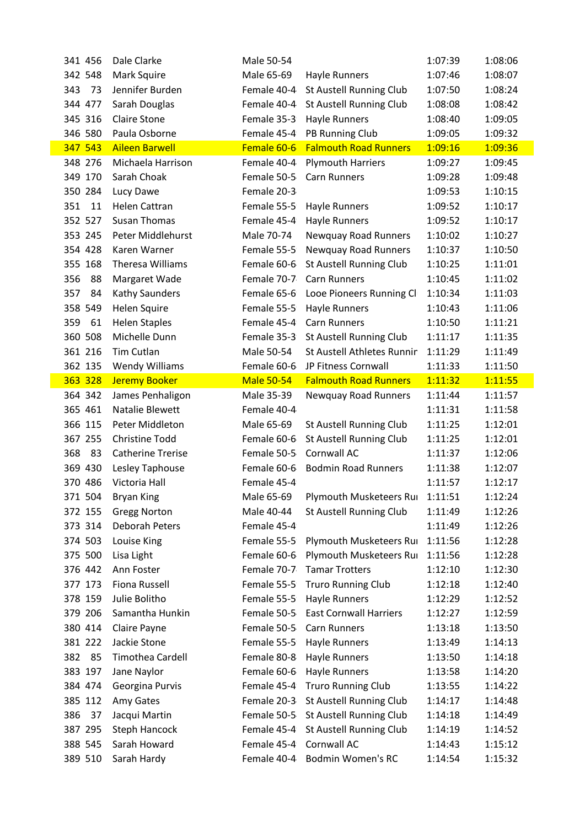| 341 456 |    | Dale Clarke              | Male 50-54        |                                    | 1:07:39 | 1:08:06 |
|---------|----|--------------------------|-------------------|------------------------------------|---------|---------|
| 342 548 |    | Mark Squire              | Male 65-69        | Hayle Runners                      | 1:07:46 | 1:08:07 |
| 343     | 73 | Jennifer Burden          | Female 40-4       | St Austell Running Club            | 1:07:50 | 1:08:24 |
| 344 477 |    | Sarah Douglas            | Female 40-4       | St Austell Running Club            | 1:08:08 | 1:08:42 |
| 345 316 |    | <b>Claire Stone</b>      | Female 35-3       | Hayle Runners                      | 1:08:40 | 1:09:05 |
| 346 580 |    | Paula Osborne            | Female 45-4       | PB Running Club                    | 1:09:05 | 1:09:32 |
| 347 543 |    | <b>Aileen Barwell</b>    | Female 60-6       | <b>Falmouth Road Runners</b>       | 1:09:16 | 1:09:36 |
| 348 276 |    | Michaela Harrison        | Female 40-4       | <b>Plymouth Harriers</b>           | 1:09:27 | 1:09:45 |
| 349 170 |    | Sarah Choak              | Female 50-5       | <b>Carn Runners</b>                | 1:09:28 | 1:09:48 |
| 350 284 |    | Lucy Dawe                | Female 20-3       |                                    | 1:09:53 | 1:10:15 |
| 351     | 11 | Helen Cattran            | Female 55-5       | <b>Hayle Runners</b>               | 1:09:52 | 1:10:17 |
| 352 527 |    | <b>Susan Thomas</b>      | Female 45-4       | Hayle Runners                      | 1:09:52 | 1:10:17 |
| 353 245 |    | Peter Middlehurst        | Male 70-74        | Newquay Road Runners               | 1:10:02 | 1:10:27 |
| 354 428 |    | Karen Warner             | Female 55-5       | Newquay Road Runners               | 1:10:37 | 1:10:50 |
| 355 168 |    | Theresa Williams         | Female 60-6       | St Austell Running Club            | 1:10:25 | 1:11:01 |
| 356     | 88 | Margaret Wade            | Female 70-7       | <b>Carn Runners</b>                | 1:10:45 | 1:11:02 |
| 357     | 84 | Kathy Saunders           | Female 65-6       | Looe Pioneers Running Cli          | 1:10:34 | 1:11:03 |
| 358 549 |    | Helen Squire             | Female 55-5       | <b>Hayle Runners</b>               | 1:10:43 | 1:11:06 |
| 359     | 61 | <b>Helen Staples</b>     | Female 45-4       | <b>Carn Runners</b>                | 1:10:50 | 1:11:21 |
| 360 508 |    | Michelle Dunn            | Female 35-3       | St Austell Running Club            | 1:11:17 | 1:11:35 |
| 361 216 |    | Tim Cutlan               | Male 50-54        | St Austell Athletes Runnin         | 1:11:29 | 1:11:49 |
| 362 135 |    | <b>Wendy Williams</b>    | Female 60-6       | JP Fitness Cornwall                | 1:11:33 | 1:11:50 |
| 363 328 |    | <b>Jeremy Booker</b>     | <b>Male 50-54</b> | <b>Falmouth Road Runners</b>       | 1:11:32 | 1:11:55 |
| 364 342 |    | James Penhaligon         | Male 35-39        | Newquay Road Runners               | 1:11:44 | 1:11:57 |
| 365 461 |    | <b>Natalie Blewett</b>   | Female 40-4       |                                    | 1:11:31 | 1:11:58 |
| 366 115 |    | Peter Middleton          | Male 65-69        | St Austell Running Club            | 1:11:25 | 1:12:01 |
| 367 255 |    | <b>Christine Todd</b>    | Female 60-6       | St Austell Running Club            | 1:11:25 | 1:12:01 |
| 368     | 83 | <b>Catherine Trerise</b> | Female 50-5       | Cornwall AC                        | 1:11:37 | 1:12:06 |
| 369 430 |    | Lesley Taphouse          | Female 60-6       | <b>Bodmin Road Runners</b>         | 1:11:38 | 1:12:07 |
| 370 486 |    | Victoria Hall            | Female 45-4       |                                    | 1:11:57 | 1:12:17 |
| 371 504 |    | <b>Bryan King</b>        |                   | Male 65-69 Plymouth Musketeers Rur | 1:11:51 | 1:12:24 |
| 372 155 |    | <b>Gregg Norton</b>      | Male 40-44        | St Austell Running Club            | 1:11:49 | 1:12:26 |
| 373 314 |    | Deborah Peters           | Female 45-4       |                                    | 1:11:49 | 1:12:26 |
| 374 503 |    | Louise King              | Female 55-5       | Plymouth Musketeers Rui            | 1:11:56 | 1:12:28 |
| 375 500 |    | Lisa Light               | Female 60-6       | Plymouth Musketeers Rui            | 1:11:56 | 1:12:28 |
| 376 442 |    | Ann Foster               | Female 70-7       | <b>Tamar Trotters</b>              | 1:12:10 | 1:12:30 |
| 377 173 |    | <b>Fiona Russell</b>     | Female 55-5       | <b>Truro Running Club</b>          | 1:12:18 | 1:12:40 |
| 378 159 |    | Julie Bolitho            | Female 55-5       | <b>Hayle Runners</b>               | 1:12:29 | 1:12:52 |
| 379 206 |    | Samantha Hunkin          | Female 50-5       | <b>East Cornwall Harriers</b>      | 1:12:27 | 1:12:59 |
| 380 414 |    | Claire Payne             | Female 50-5       | <b>Carn Runners</b>                | 1:13:18 | 1:13:50 |
| 381 222 |    | Jackie Stone             | Female 55-5       | Hayle Runners                      | 1:13:49 | 1:14:13 |
| 382     | 85 | <b>Timothea Cardell</b>  | Female 80-8       | Hayle Runners                      | 1:13:50 | 1:14:18 |
| 383 197 |    | Jane Naylor              | Female 60-6       | Hayle Runners                      | 1:13:58 | 1:14:20 |
| 384 474 |    | Georgina Purvis          | Female 45-4       | <b>Truro Running Club</b>          | 1:13:55 | 1:14:22 |
| 385 112 |    | Amy Gates                | Female 20-3       | St Austell Running Club            | 1:14:17 | 1:14:48 |
| 386     | 37 | Jacqui Martin            | Female 50-5       | St Austell Running Club            | 1:14:18 | 1:14:49 |
| 387 295 |    | <b>Steph Hancock</b>     | Female 45-4       | St Austell Running Club            | 1:14:19 | 1:14:52 |
| 388 545 |    | Sarah Howard             | Female 45-4       | Cornwall AC                        | 1:14:43 | 1:15:12 |
| 389 510 |    | Sarah Hardy              | Female 40-4       | <b>Bodmin Women's RC</b>           | 1:14:54 | 1:15:32 |